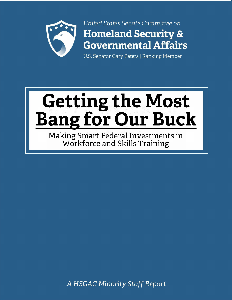

United States Senate Committee on **Homeland Security & Governmental Affairs** 

U.S. Senator Gary Peters | Ranking Member

# **Getting the Most<br>Bang for Our Buck**

Making Smart Federal Investments in Workforce and Skills Training

A HSGAC Minority Staff Report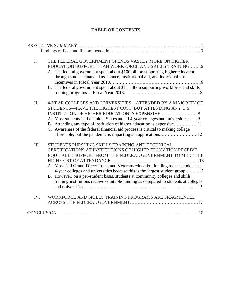# **TABLE OF CONTENTS**

| $I_{\cdot}$ | THE FEDERAL GOVERNMENT SPENDS VASTLY MORE ON HIGHER<br>EDUCATION SUPPORT THAN WORKFORCE AND SKILLS TRAINING6<br>A. The federal government spent about \$100 billion supporting higher education<br>through student financial assistance, institutional aid, and individual tax<br>. 6<br>B. The federal government spent about \$11 billion supporting workforce and skills                                                                                                                                                       |
|-------------|-----------------------------------------------------------------------------------------------------------------------------------------------------------------------------------------------------------------------------------------------------------------------------------------------------------------------------------------------------------------------------------------------------------------------------------------------------------------------------------------------------------------------------------|
| II.         | 4-YEAR COLLEGES AND UNIVERSITIES—ATTENDED BY A MAJORITY OF<br>STUDENTS-HAVE THE HIGHEST COST, BUT ATTENDING ANY U.S.<br>A. Most students in the United States attend 4-year colleges and universities9<br>C. Awareness of the federal financial aid process is critical to making college                                                                                                                                                                                                                                         |
| III.        | STUDENTS PURSUING SKILLS TRAINING AND TECHNICAL<br>CERTIFICATIONS AT INSTITUTIONS OF HIGHER EDUCATION RECEIVE<br>EQUITABLE SUPPORT FROM THE FEDERAL GOVERNMENT TO MEET THE<br>. 13<br>A. Most Pell Grant, Direct Loan, and Veterans education funding assists students at<br>4-year colleges and universities because this is the largest student group13<br>B. However, on a per-student basis, students at community colleges and skills<br>training institutions receive equitable funding as compared to students at colleges |
| IV.         | WORKFORCE AND SKILLS TRAINING PROGRAMS ARE FRAGMENTED                                                                                                                                                                                                                                                                                                                                                                                                                                                                             |
|             |                                                                                                                                                                                                                                                                                                                                                                                                                                                                                                                                   |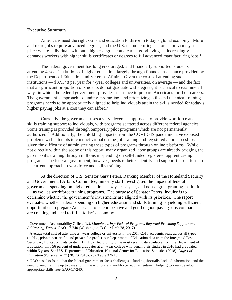## **Executive Summary**

 $\overline{a}$ 

Americans need the right skills and education to thrive in today's global economy. More and more jobs require advanced degrees, and the U.S. manufacturing sector — previously a place where individuals without a higher degree could earn a good living — increasingly demands workers with higher skills certificates or degrees to fill advanced manufacturing jobs.<sup>1</sup>

The federal government has long encouraged, and financially supported, students attending 4-year institutions of higher education, largely through financial assistance provided by the Departments of Education and Veterans Affairs. Given the costs of attending such institutions — \$37,548 per year for 4-year colleges and universities, on average — and the fact that a significant proportion of students do not graduate with degrees, it is critical to examine all ways in which the federal government provides assistance to prepare Americans for their careers. The government's approach to funding, promoting, and prioritizing skills and technical training programs needs to be appropriately aligned to help individuals attain the skills needed for today's higher paying jobs at a cost they can afford. $2^2$ 

Currently, the government uses a very piecemeal approach to provide workforce and skills training support to individuals, with programs scattered across different federal agencies. Some training is provided through temporary pilot programs which are not permanently authorized.<sup>3</sup> Additionally, the unfolding impacts from the COVID-19 pandemic have exposed problems with attempts to conduct virtual on-the-job training and registered apprenticeships, given the difficulty of administering these types of programs through online platforms. While not directly within the scope of this report, many organized labor groups are already bridging the gap in skills training through millions in spending on self-funded registered apprenticeship programs. The federal government, however, needs to better identify and support these efforts in its current approach to workforce and skills training.

At the direction of U.S. Senator Gary Peters, Ranking Member of the Homeland Security and Governmental Affairs Committee, minority staff investigated the impact of federal government spending on higher education — 4-year, 2-year, and non-degree-granting institutions — as well as workforce training programs. The purpose of Senator Peters' inquiry is to determine whether the government's investments are aligned with its priorities. The report evaluates whether federal spending on higher education and skills training is yielding sufficient opportunities to prepare Americans to be competitive and get the good paying jobs companies are creating and need to fill in today's economy.

<sup>1</sup> Government Accountability Office, *U.S. Manufacturing: Federal Programs Reported Providing Support and Addressing Trends*, GAO-17-240 (Washington, D.C.: March 28, 2017).

 $2$  Average total cost of attending a 4-year college or university in the 2017-2018 academic year, across all types (public, private non-profit, and private for-profit), per Department of Education data from the Integrated Post-Secondary Education Data System (IPEDS). According to the most recent data available from the Department of Education, only 56 percent of undergraduates at a 4-year college who began their studies in 2010 had graduated within 5 years. See U.S. Department of Education, National Center for Education Statistics (2018). *Digest of Education Statistics, 2017* (NCES 2018-070), [Table 326.10.](https://nces.ed.gov/programs/digest/d17/tables/dt17_330.10.asp) 

<sup>&</sup>lt;sup>3</sup> GAO has also found that the federal government faces challenges—funding shortfalls, lack of information, and the need to keep training up to date and in line with current workforce requirements—in helping workers develop appropriate skills. *See* GAO-17-240.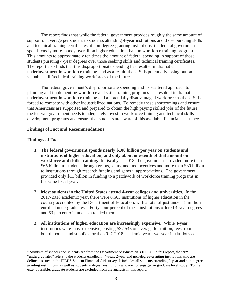The report finds that while the federal government provides roughly the same amount of support on average per student to students attending 4-year institutions and those pursuing skills and technical training certificates at non-degree-granting institutions, the federal government spends vastly more money overall on higher education than on workforce training programs. This amounts to approximately ten times the amount of federal spending in support of those students pursuing 4-year degrees over those seeking skills and technical training certificates. The report also finds that this disproportionate spending has resulted in dramatic underinvestment in workforce training, and as a result, the U.S. is potentially losing out on valuable skill/technical training workforces of the future.

The federal government's disproportionate spending and its scattered approach to planning and implementing workforce and skills training programs has resulted in dramatic underinvestment in workforce training and a potentially disadvantaged workforce as the U.S. is forced to compete with other industrialized nations. To remedy these shortcomings and ensure that Americans are supported and prepared to obtain the high paying skilled jobs of the future, the federal government needs to adequately invest in workforce training and technical skills development programs and ensure that students are aware of this available financial assistance.

### **Findings of Fact and Recommendations**

### **Findings of Fact**

- **1. The federal government spends nearly \$100 billion per year on students and institutions of higher education, and only about one-tenth of that amount on workforce and skills training.** In fiscal year 2018, the government provided more than \$65 billion to students through grants, loans, and tax incentives and more than \$30 billion to institutions through research funding and general appropriations. The government provided only \$11 billion in funding to a patchwork of workforce training programs in the same fiscal year.
- **2. Most students in the United States attend 4-year colleges and universities.** In the 2017-2018 academic year, there were 6,603 institutions of higher education in the country accredited by the Department of Education, with a total of just under 18 million enrolled undergraduates.<sup>4</sup> Forty-four percent of these institutions offered 4-year degrees and 63 percent of students attended them.
- **3. All institutions of higher education are increasingly expensive.** While 4-year institutions were most expensive, costing \$37,548 on average for tuition, fees, room, board, books, and supplies for the 2017-2018 academic year, two-year institutions cost

<sup>4</sup> Numbers of schools and students are from the Department of Education's IPEDS. In this report, the term "undergraduates" refers to the students enrolled in 4-year, 2-year and non-degree-granting institutions who are defined as such in the IPEDS Student Financial Aid survey. It includes all students attending 2-year and non-degreegranting institutions, as well as students at 4-year institutions who are not engaged in graduate level study. To the extent possible, graduate students are excluded from the analysis in this report.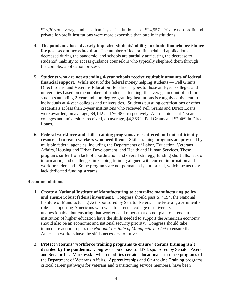\$28,308 on average and less than 2-year institutions cost \$24,557. Private non-profit and private for-profit institutions were more expensive than public institutions.

- **4. The pandemic has adversely impacted students' ability to obtain financial assistance for post-secondary education.** The number of federal financial aid applications has decreased during the pandemic, and schools are partially attributing the decrease to students' inability to access guidance counselors who typically shepherd them through the complex application process.
- **5. Students who are not attending 4-year schools receive equitable amounts of federal financial support.** While most of the federal money helping students — Pell Grants, Direct Loans, and Veterans Education Benefits — goes to those at 4-year colleges and universities based on the numbers of students attending, the average amount of aid for students attending 2-year and non-degree-granting institutions is roughly equivalent to individuals at 4-year colleges and universities. Students pursuing certifications or other credentials at less than 2-year institutions who received Pell Grants and Direct Loans were awarded, on average, \$4,142 and \$6,487, respectively. Aid recipients at 4-year colleges and universities received, on average, \$4,363 in Pell Grants and \$7,469 in Direct Loans.
- **6. Federal workforce and skills training programs are scattered and not sufficiently resourced to reach workers who need them.** Skills training programs are provided by multiple federal agencies, including the Departments of Labor, Education, Veterans Affairs, Housing and Urban Development, and Health and Human Services. These programs suffer from lack of coordination and overall strategy, funding shortfalls, lack of information, and challenges in keeping training aligned with current information and workforce demand. Some programs are not permanently authorized, which means they lack dedicated funding streams.

## **Recommendations**

- **1. Create a National Institute of Manufacturing to centralize manufacturing policy and ensure robust federal investment.** Congress should pass S. 4194, the National Institute of Manufacturing Act, sponsored by Senator Peters. The federal government's role in supporting Americans who wish to attend a college or university is unquestionable; but ensuring that workers and others that do not plan to attend an institution of higher education have the skills needed to support the American economy should also be an economic and national security priority. Congress should take immediate action to pass the *National Institute of Manufacturing Act* to ensure that American workers have the skills necessary to thrive.
- **2. Protect veterans' workforce training programs to ensure veterans training isn't derailed by the pandemic.** Congress should pass S. 4373, sponsored by Senator Peters and Senator Lisa Murkowski, which modifies certain educational assistance programs of the Department of Veterans Affairs. Apprenticeships and On-the-Job Training programs, critical career pathways for veterans and transitioning service members, have been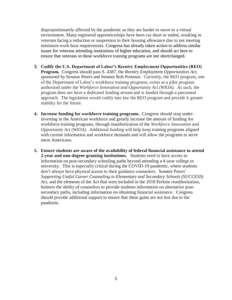disproportionately affected by the pandemic as they are harder to move to a virtual environment. Many registered apprenticeships have been cut short or ended, resulting in veterans facing a reduction or suspension in their housing allowance due to not meeting minimum work hour requirements. Congress has already taken action to address similar issues for veterans attending institutions of higher education, and should act here to ensure that veterans in these workforce training programs are not shortchanged.

- **3. Codify the U.S. Department of Labor's Reentry Employment Opportunities (REO) Program.** Congress should pass S. 4387, the *Reentry Employment Opportunities Act*, sponsored by Senator Peters and Senator Rob Portman. Currently, the REO program, one of the Department of Labor's workforce training programs, exists as a pilot program authorized under the *Workforce Innovation and Opportunity Act (WIOA).* As such, the program does not have a dedicated funding stream and is funded through a piecemeal approach. The legislation would codify into law the REO program and provide it greater stability for the future.
- **4. Increase funding for workforce training programs.** Congress should stop underinvesting in the American workforce and greatly increase the amount of funding for workforce training programs, through reauthorization of the *Workforce Innovation and Opportunity Act (WIOA)*. Additional funding will help keep training programs aligned with current information and workforce demands and will allow the programs to serve more Americans.
- **5. Ensure students are aware of the availability of federal financial assistance to attend 2-year and non-degree-granting institutions.** Students need to have access to information on post-secondary schooling paths beyond attending a 4-year college or university. This is especially critical during the COVID-19 pandemic, where students don't always have physical access to their guidance counselors. Senator Peters' *Supporting Useful Career Counseling in Elementary and Secondary Schools (SUCCESS) Act,* and the elements of the Act that were included in the 2018 Perkins reauthorization, bolsters the ability of counselors to provide students information on alternative postsecondary paths, including information on obtaining financial assistance. Congress should provide additional support to ensure that these gains are not lost due to the pandemic.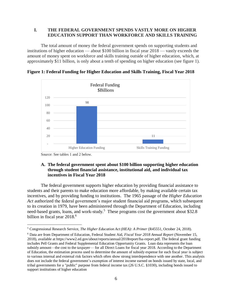# **I. THE FEDERAL GOVERNMENT SPENDS VASTLY MORE ON HIGHER EDUCATION SUPPORT THAN WORKFORCE AND SKILLS TRAINING**

The total amount of money the federal government spends on supporting students and institutions of higher education — about \$100 billion in fiscal year 2018 — vastly exceeds the amount of money spent on workforce and skills training outside of higher education, which, at approximately \$11 billion, is only about a tenth of spending on higher education (see figure 1).



**Figure 1: Federal Funding for Higher Education and Skills Training, Fiscal Year 2018**

Source: See tables 1 and 2 below.

 $\overline{a}$ 

# **A. The federal government spent about \$100 billion supporting higher education through student financial assistance, institutional aid, and individual tax incentives in Fiscal Year 2018**

The federal government supports higher education by providing financial assistance to students and their parents to make education more affordable, by making available certain tax incentives, and by providing funding to institutions. The 1965 passage of the *Higher Education Act* authorized the federal government's major student financial aid programs, which subsequent to its creation in 1979, have been administered through the Department of Education, including need-based grants, loans, and work-study.<sup>5</sup> These programs cost the government about \$32.8 billion in fiscal year 2018.<sup>6</sup>

<sup>5</sup> Congressional Research Service, *The Higher Education Act (HEA): A Primer* (R45551, October 24, 2018).

<sup>6</sup> Data are from Department of Education, Federal Student Aid, *Fiscal Year 2018 Annual Report* (November 15, 2018), available at https://www2.ed.gov/about/reports/annual/2018report/fsa-report.pdf. The federal grant funding includes Pell Grants and Federal Supplemental Education Opportunity Grants. Loan data represents the loan subsidy amount—the cost to the taxpayer— for all Direct Loans for fiscal year 2018. According to the Department of Education, the estimation process used to determine the amount of subsidy expense for each fiscal year is subject to various internal and external risk factors which often show strong interdependence with one another. This analysis does not include the federal government's exemption of interest income earned on bonds issued by state, local, and tribal governments for a "public" purpose from federal income tax (26 U.S.C. §1030), including bonds issued to support institutions of higher education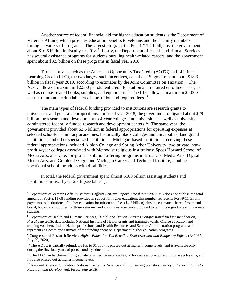Another source of federal financial aid for higher education students is the Department of Veterans Affairs, which provides education benefits to veterans and their family members through a variety of programs. The largest program, the Post-9/11 GI bill, cost the government about \$10.6 billion in fiscal year  $2018$ .<sup>7</sup> Lastly, the Department of Health and Human Services has several assistance programs for students pursuing health-related careers, and the government spent about \$3.5 billion on these programs in fiscal year 2018.<sup>8</sup>

Tax incentives, such as the American Opportunity Tax Credit (AOTC) and Lifetime Learning Credit (LLC), the two largest such incentives, cost the U.S. government about \$18.3 billion in fiscal year 2019, according to estimates by the Joint Committee on Taxation.<sup>9</sup> The AOTC allows a maximum \$2,500 per student credit for tuition and required enrollment fees, as well as course-related books, supplies, and equipment.<sup>10</sup> The LLC allows a maximum \$2,000 per tax return non-refundable credit for tuition and required fees.<sup>11</sup>

The main types of federal funding provided to institutions are research grants to universities and general appropriations. In fiscal year 2018, the government obligated about \$29 billion for research and development to 4-year colleges and universities as well as universityadministered federally funded research and development centers.<sup>12</sup> The same year, the government provided about \$2.6 billion in federal appropriations for operating expenses at selected schools — military academies, historically black colleges and universities, land grand institutions, and other specialized institutions. Michigan-based institutions receiving these federal appropriations included Albion College and Spring Arbor University, two private, nonprofit 4-year colleges associated with Methodist religious institutions; Specs Howard School of Media Arts, a private, for-profit institution offering programs in Broadcast Media Arts, Digital Media Arts, and Graphic Design; and Michigan Career and Technical Institute, a public vocational school for adults with disabilities.

In total, the federal government spent almost \$100 billion assisting students and institutions in fiscal year 2018 (see table 1).

<sup>7</sup> Department of Veterans Affairs, *Veterans Affairs Benefits Report, Fiscal Year 2018*. VA does not publish the total amount of Post-9/11 GI funding provided in support of higher education; this number represents Post-9/11 GI bill payments to institutions of higher education for tuition and fees (\$4.7 billion) plus the estimated share of room and board, books, and supplies for those veterans, and it includes assistance provided to both undergraduate and graduate students.

<sup>8</sup> Department of Health and Humans Services, *Health and Human Services Congressional Budget Justification, Fiscal year 2018*; data includes National Institute of Health grants and training awards, Chafee education and training vouchers, Indian Health professions, and Health Resources and Service Administration programs and represents a Committee estimate of the funding spent on Department higher education programs.

<sup>9</sup> Congressional Research Service, *Higher Education Tax Benefits: Brief Overview and Budgetary Effects* (R41967, July 20, 2020).

<sup>&</sup>lt;sup>10</sup> The AOTC is partially refundable (up to \$1,000), is phased out at higher income levels, and is available only during the first four years of postsecondary education.

<sup>&</sup>lt;sup>11</sup> The LLC can be claimed for graduate or undergraduate studies, or for courses to acquire or improve job skills, and it is also phased out at higher income levels.

<sup>12</sup> National Science Foundation, National Center for Science and Engineering Statistics, *Survey of Federal Funds for Research and Development, Fiscal Year 2018.*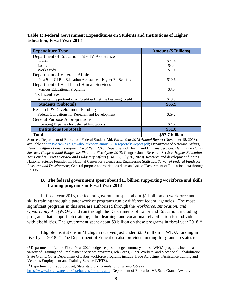**Table 1: Federal Government Expenditures on Students and Institutions of Higher Education, Fiscal Year 2018** 

| <b>Expenditure Type</b>                                     | <b>Amount (\$ Billions)</b> |  |  |
|-------------------------------------------------------------|-----------------------------|--|--|
| Department of Education Title IV Assistance                 |                             |  |  |
| <b>Grants</b>                                               | \$27.4                      |  |  |
| Loans                                                       | \$4.4                       |  |  |
| Work Study                                                  | \$1.0                       |  |  |
| Department of Veterans Affairs                              |                             |  |  |
| Post 9-11 GI Bill Education Assistance – Higher Ed Benefits | \$10.6                      |  |  |
| Department of Health and Human Services                     |                             |  |  |
| Various Educational Programs                                | \$3.5                       |  |  |
| <b>Tax Incentives</b>                                       |                             |  |  |
| American Opportunity Tax Credit & Lifetime Learning Credit  | \$19.0                      |  |  |
| <b>Students (Subtotal)</b>                                  | \$65.9                      |  |  |
| Research & Development Funding                              |                             |  |  |
| Federal Obligations for Research and Development            | \$29.2                      |  |  |
| <b>General Purpose Appropriations</b>                       |                             |  |  |
| Operating Expenses for Selected Institutions                | \$2.6                       |  |  |
| <b>Institutions (Subtotal)</b>                              | \$31.8                      |  |  |
| <b>Total</b>                                                | \$97.7 billion              |  |  |

Sources: Department of Education, Federal Student Aid, *Fiscal Year 2018 Annual Report* (November 15, 2018), available at [https://www2.ed.gov/about/reports/annual/2018report/fsa-report.pdf;](https://www2.ed.gov/about/reports/annual/2018report/fsa-report.pdf) Department of Veterans Affairs, *Veterans Affairs Benefits Report, Fiscal Year 2018*; Department of Health and Humans Services, *Health and Human Services Congressional Budget Justification, Fiscal year 2018*; Congressional Research Service, *Higher Education Tax Benefits: Brief Overview and Budgetary Effects* (R41967, July 20, 2020). Research and development funding: National Science Foundation, National Center for Science and Engineering Statistics, *Survey of Federal Funds for Research and Development;* General purpose appropriations data: analysis of Department of Education data through IPEDS.

# **B. The federal government spent about \$11 billion supporting workforce and skills training programs in Fiscal Year 2018**

In fiscal year 2018, the federal government spent about \$11 billion on workforce and skills training through a patchwork of programs run by different federal agencies. The most significant programs in this area are authorized through the *Workforce, Innovation, and Opportunity Act (WIOA)* and run through the Departments of Labor and Education, including programs that support job training, adult learning, and vocational rehabilitation for individuals with disabilities. The government spent about \$9 billion on these programs in fiscal year 2018.<sup>13</sup>

Eligible institutions in Michigan received just under \$230 million in WIOA funding in fiscal year 2018.<sup>14</sup> The Department of Education also provides funding for grants to states to

<sup>&</sup>lt;sup>13</sup> Department of Labor, Fiscal Year 2020 budget request, budget summary tables. WIOA programs include a variety of Training and Employment Services programs, Job Corps, Older Workers, and Vocational Rehabilitation State Grants. Other Department of Labor workforce programs include Trade Adjustment Assistance training and Veterans Employment and Training Service (VETS).

<sup>14</sup> Department of Labor, budget, State statutory formula funding, *available at*  [https://www.dol.gov/agencies/eta/budget/formula/state.](https://www.dol.gov/agencies/eta/budget/formula/state) Department of Education VR State Grants Awards,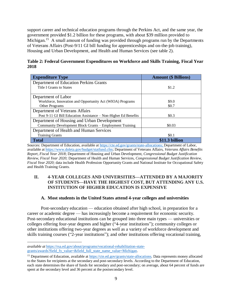support career and technical education programs through the Perkins Act, and the same year, the government provided \$1.2 billion for these programs, with about \$39 million provided to Michigan.<sup>15</sup> A small amount of funding was provided through programs run by the Departments of Veterans Affairs (Post-9/11 GI bill funding for apprenticeships and on-the-job training), Housing and Urban Development, and Health and Human Services (see table 2).

| Table 2: Federal Government Expenditures on Workforce and Skills Training, Fiscal Year |  |  |  |
|----------------------------------------------------------------------------------------|--|--|--|
| 2018                                                                                   |  |  |  |

| <b>Expenditure Type</b>                                         | <b>Amount (\$ Billions)</b> |
|-----------------------------------------------------------------|-----------------------------|
| Department of Education Perkins Grants                          |                             |
| Title I Grants to States                                        | \$1.2                       |
|                                                                 |                             |
| Department of Labor                                             |                             |
| Workforce, Innovation and Opportunity Act (WIOA) Programs       | \$9.0                       |
| Other Programs                                                  | \$0.7                       |
| Department of Veterans Affairs                                  |                             |
| Post 9-11 GI Bill Education Assistance – Non-Higher Ed Benefits | \$0.3                       |
| Department of Housing and Urban Development                     |                             |
| Community Development Block Grants – Employment Training        | \$0.03                      |
| Department of Health and Human Services                         |                             |
| <b>Training Grants</b>                                          | \$0.1                       |
| <b>Total</b>                                                    | \$11.3 billion              |

Sources: Department of Education, available at [https://cte.ed.gov/grants/state-allocations;](https://cte.ed.gov/grants/state-allocations) Department of Labor, available at [https://www.doleta.gov/budget/statfund.cfm;](https://www.doleta.gov/budget/statfund.cfm) Department of Veterans Affairs, *Veterans Affairs Benefits Report, Fiscal Year 2018*; Department of Housing and Urban Development, *Congressional Budget Justification Review, Fiscal Year 2020;* Department of Health and Human Services, *Congressional Budget Justification Review, Fiscal Year 2020;* data include Health Profession Opportunity Grants and National Institute for Occupational Safety and Health Training Grants.

# **II. 4-YEAR COLLEGES AND UNIVERSITIES—ATTENDED BY A MAJORITY OF STUDENTS—HAVE THE HIGHEST COST, BUT ATTENDING ANY U.S. INSTITUTION OF HIGHER EDUCATION IS EXPENSIVE**

# **A. Most students in the United States attend 4-year colleges and universities**

Post-secondary education — education obtained after high school, in preparation for a career or academic degree — has increasingly become a requirement for economic security. Post-secondary educational institutions can be grouped into three main types — universities or colleges offering four-year degrees and higher ("4-year institutions"); community colleges or other institutions offering two-year degrees as well as a variety of workforce development and skills training courses ("2-year institutions"); and other institutions offering vocational training,

*available at* [https://rsa.ed.gov/about/programs/vocational-rehabilitation-state](https://rsa.ed.gov/about/programs/vocational-rehabilitation-state-grants/awards?field_fy_value=&field_full_state_name_value=Michigan)[grants/awards?field\\_fy\\_value=&field\\_full\\_state\\_name\\_value=Michigan.](https://rsa.ed.gov/about/programs/vocational-rehabilitation-state-grants/awards?field_fy_value=&field_full_state_name_value=Michigan)

<sup>&</sup>lt;sup>15</sup> Department of Education, available a[t https://cte.ed.gov/grants/state-allocations.](https://cte.ed.gov/grants/state-allocations) Data represents money allocated to the States for recipients at the secondary and post-secondary levels. According to the Department of Education, each state determines the share of funds for secondary and post-secondary; on average, about 64 percent of funds are spent at the secondary level and 36 percent at the postsecondary level.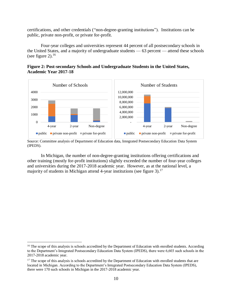certifications, and other credentials ("non-degree-granting institutions"). Institutions can be public, private non-profit, or private for-profit.

Four-year colleges and universities represent 44 percent of all postsecondary schools in the United States, and a majority of undergraduate students — 63 percent — attend these schools (see figure 2).<sup>16</sup>





Source: Committee analysis of Department of Education data, Integrated Postsecondary Education Data System (IPEDS).

In Michigan, the number of non-degree-granting institutions offering certifications and other training (mostly for-profit institutions) slightly exceeded the number of four-year colleges and universities during the 2017-2018 academic year. However, as at the national level, a majority of students in Michigan attend 4-year institutions (see figure 3).<sup>17</sup>

<sup>&</sup>lt;sup>16</sup> The scope of this analysis is schools accredited by the Department of Education with enrolled students. According to the Department's Integrated Postsecondary Education Data System (IPEDS), there were 6,603 such schools in the 2017-2018 academic year.

 $17$  The scope of this analysis is schools accredited by the Department of Education with enrolled students that are located in Michigan. According to the Department's Integrated Postsecondary Education Data System (IPEDS), there were 170 such schools in Michigan in the 2017-2018 academic year.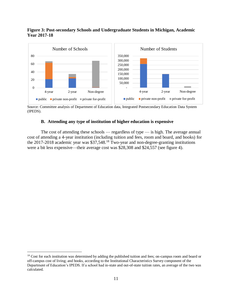### **Figure 3: Post-secondary Schools and Undergraduate Students in Michigan, Academic Year 2017-18**



Source: Committee analysis of Department of Education data, Integrated Postsecondary Education Data System (IPEDS).

## **B. Attending any type of institution of higher education is expensive**

The cost of attending these schools — regardless of type — is high. The average annual cost of attending a 4-year institution (including tuition and fees, room and board, and books) for the 2017-2018 academic year was \$37,548.<sup>18</sup> Two-year and non-degree-granting institutions were a bit less expensive—their average cost was \$28,308 and \$24,557 (see figure 4).

<sup>&</sup>lt;sup>18</sup> Cost for each institution was determined by adding the published tuition and fees; on-campus room and board or off-campus cost of living; and books, according to the Institutional Characteristics Survey component of the Department of Education's IPEDS. If a school had in-state and out-of-state tuition rates, an average of the two was calculated.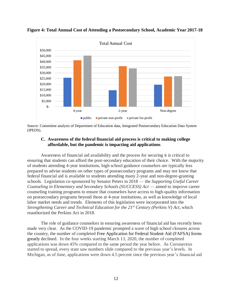

**Figure 4: Total Annual Cost of Attending a Postsecondary School, Academic Year 2017-18**

Source: Committee analysis of Department of Education data, Integrated Postsecondary Education Data System (IPEDS).

## **C. Awareness of the federal financial aid process is critical to making college affordable, but the pandemic is impacting aid applications**

Awareness of financial aid availability and the process for securing it is critical to ensuring that students can afford the post-secondary education of their choice. With the majority of students attending 4-year institutions, high school guidance counselors are typically less prepared to advise students on other types of postsecondary programs and may not know that federal financial aid is available to students attending many 2-year and non-degree-granting schools. Legislation co-sponsored by Senator Peters in 2018 — the *Supporting Useful Career Counseling in Elementary and Secondary Schools (SUCCESS) Act* — aimed to improve career counseling training programs to ensure that counselors have access to high-quality information on postsecondary programs beyond those at 4-year institutions, as well as knowledge of local labor market needs and trends. Elements of this legislation were incorporated into the *Strengthening Career and Technical Education for the 21st Century (Perkins V) Act*, which reauthorized the Perkins Act in 2018.

The role of guidance counselors in ensuring awareness of financial aid has recently been made very clear. As the COVID-19 pandemic prompted a wave of high school closures across the country, the number of completed Free Application for Federal Student Aid (FAFSA) forms greatly declined. In the four weeks starting March 13, 2020, the number of completed applications was down 45% compared to the same period the year before. As Coronavirus started to spread, every state saw numbers slide compared to the previous year's levels. In Michigan, as of June, applications were down 4.5 percent since the previous year's financial aid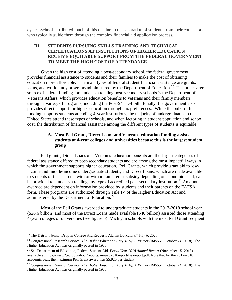cycle. Schools attributed much of this decline to the separation of students from their counselors who typically guide them through the complex financial aid application process.<sup>19</sup>

# **III. STUDENTS PURSUING SKILLS TRAINING AND TECHNICAL CERTIFICATIONS AT INSTITUTIONS OF HIGHER EDUCATION RECEIVE EQUITABLE SUPPORT FROM THE FEDERAL GOVERNMENT TO MEET THE HIGH COST OF ATTENDANCE**

Given the high cost of attending a post-secondary school, the federal government provides financial assistance to students and their families to make the cost of obtaining education more affordable. The main types of federal student financial assistance are grants, loans, and work-study programs administered by the Department of Education.<sup>20</sup> The other large source of federal funding for students attending post-secondary schools is the Department of Veterans Affairs, which provides education benefits to veterans and their family members through a variety of programs, including the Post-9/11 GI bill. Finally, the government also provides direct support for higher education through tax preferences. While the bulk of this funding supports students attending 4-year institutions, the majority of undergraduates in the United States attend these types of schools, and when factoring in student population and school cost, the distribution of financial assistance among the different types of students is equitable.

# **A. Most Pell Grant, Direct Loan, and Veterans education funding assists students at 4-year colleges and universities because this is the largest student group**

Pell grants, Direct Loans and Veterans' education benefits are the largest categories of federal assistance offered to post-secondary students and are among the most impactful ways in which the government supports higher education. Pell Grants, which provide grant aid to lowincome and middle-income undergraduate students, and Direct Loans, which are made available to students or their parents with or without an interest subsidy depending on economic need, can be provided to students attending any type of accredited post-secondary institution.<sup>21</sup> Amounts awarded are dependent on information provided by students and their parents on the FAFSA form. These programs are authorized through Title IV of the Higher Education Act and administered by the Department of Education.<sup>22</sup>

Most of the Pell Grants awarded to undergraduate students in the 2017-2018 school year (\$26.6 billion) and most of the Direct Loans made available (\$40 billion) assisted those attending 4-year colleges or universities (see figure 5). Michigan schools with the most Pell Grant recipient

<sup>&</sup>lt;sup>19</sup> The Detroit News, "Drop in College Aid Requests Alarms Educators," July 6, 2020.

<sup>20</sup> Congressional Research Service, *The Higher Education Act (HEA): A Primer* (R45551, October 24, 2018). The Higher Education Act was originally passed in 1965.

<sup>21</sup> See Department of Education, Federal Student Aid, *Fiscal Year 2018 Annual Report* (November 15, 2018), available at https://www2.ed.gov/about/reports/annual/2018report/fsa-report.pdf. Note that for the 2017-2018 academic year, the maximum Pell Grant award was \$5,920 per student.

<sup>22</sup> Congressional Research Service, *The Higher Education Act (HEA): A Primer* (R45551, October 24, 2018). The Higher Education Act was originally passed in 1965.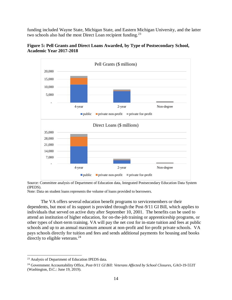funding included Wayne State, Michigan State, and Eastern Michigan University, and the latter two schools also had the most Direct Loan recipient funding.<sup>23</sup>





Note: Data on student loans represents the volume of loans provided to borrowers.

The VA offers several education benefit programs to servicemembers or their dependents, but most of its support is provided through the Post-9/11 GI Bill, which applies to individuals that served on active duty after September 10, 2001. The benefits can be used to attend an institution of higher education, for on-the-job training or apprenticeship programs, or other types of short-term training. VA will pay the net cost for in-state tuition and fees at public schools and up to an annual maximum amount at non-profit and for-profit private schools. VA pays schools directly for tuition and fees and sends additional payments for housing and books directly to eligible veterans. $^{24}$ 

Source: Committee analysis of Department of Education data, Integrated Postsecondary Education Data System (IPEDS).

<sup>23</sup> Analysis of Department of Education IPEDS data.

<sup>&</sup>lt;sup>24</sup> Government Accountability Office, *Post-9/11 GI Bill: Veterans Affected by School Closures*, GAO-19-553T (Washington, D.C.: June 19, 2019).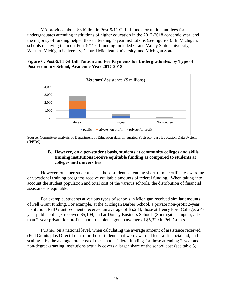VA provided about \$3 billion in Post-9/11 GI bill funds for tuition and fees for undergraduates attending institutions of higher education in the 2017-2018 academic year, and the majority of funding helped those attending 4-year institutions (see figure 6). In Michigan, schools receiving the most Post-9/11 GI funding included Grand Valley State University, Western Michigan University, Central Michigan University, and Michigan State.

# **Figure 6: Post-9/11 GI Bill Tuition and Fee Payments for Undergraduates, by Type of Postsecondary School, Academic Year 2017-2018**



Source: Committee analysis of Department of Education data, Integrated Postsecondary Education Data System (IPEDS).

# **B. However, on a per-student basis, students at community colleges and skills training institutions receive equitable funding as compared to students at colleges and universities**

However, on a per-student basis, those students attending short-term, certificate-awarding or vocational training programs receive equitable amounts of federal funding. When taking into account the student population and total cost of the various schools, the distribution of financial assistance is equitable.

For example, students at various types of schools in Michigan received similar amounts of Pell Grant funding. For example, at the Michigan Barber School, a private non-profit 2-year institution, Pell Grant recipients received an average of \$5,234; those at Henry Ford College, a 4 year public college, received \$5,104; and at Dorsey Business Schools (Southgate campus), a less than 2-year private for-profit school, recipients got an average of \$5,329 in Pell Grants.

Further, on a national level, when calculating the average amount of assistance received (Pell Grants plus Direct Loans) for those students that were awarded federal financial aid, and scaling it by the average total cost of the school, federal funding for those attending 2-year and non-degree-granting institutions actually covers a larger share of the school cost (see table 3).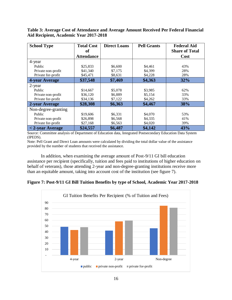**Table 3: Average Cost of Attendance and Average Amount Received Per Federal Financial Aid Recipient, Academic Year 2017-2018**

| <b>School Type</b>  | <b>Total Cost</b> | <b>Direct Loans</b> | <b>Pell Grants</b> | <b>Federal Aid</b>    |
|---------------------|-------------------|---------------------|--------------------|-----------------------|
|                     | оf                |                     |                    | <b>Share of Total</b> |
|                     | <b>Attendance</b> |                     |                    | Cost                  |
| 4-year              |                   |                     |                    |                       |
| Public              | \$25,833          | \$6,600             | \$4,461            | 43%                   |
| Private non-profit  | \$41,340          | \$7,175             | \$4,399            | 28%                   |
| Private for-profit  | \$45,471          | \$8,631             | \$4,228            | 28%                   |
| 4-year Average      | \$37,548          | \$7,469             | \$4,363            | 32%                   |
| 2-year              |                   |                     |                    |                       |
| Public              | \$14,667          | \$5,078             | \$3,985            | 62%                   |
| Private non-profit  | \$36,120          | \$6,889             | \$5,154            | 33%                   |
| Private for-profit  | \$34,136          | \$7,122             | \$4,262            | 33%                   |
| 2-year Average      | \$28,308          | \$6,363             | \$4,467            | 38%                   |
| Non-degree-granting |                   |                     |                    |                       |
| Public              | \$19,606          | \$6,331             | \$4,070            | 53%                   |
| Private non-profit  | \$26,898          | \$6,568             | \$4,335            | 41%                   |
| Private for-profit  | \$27,168          | \$6,563             | \$4,020            | 39%                   |
| $<$ 2-year Average  | \$24,557          | \$6,487             | \$4,142            | 43%                   |

Source: Committee analysis of Department of Education data, Integrated Postsecondary Education Data System (IPEDS).

Note: Pell Grant and Direct Loan amounts were calculated by dividing the total dollar value of the assistance provided by the number of students that received the assistance.

In addition, when examining the average amount of Post-9/11 GI bill education assistance per recipient (specifically, tuition and fees paid to institutions of higher education on behalf of veterans), those attending 2-year and non-degree-granting institutions receive more than an equitable amount, taking into account cost of the institution (see figure 7).

**Figure 7: Post-9/11 GI Bill Tuition Benefits by type of School, Academic Year 2017-2018**

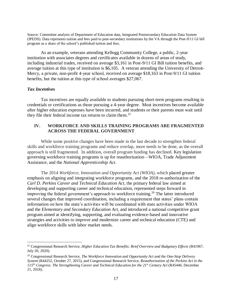Source: Committee analysis of Department of Education data, Integrated Postsecondary Education Data System (IPEDS). Data represents tuition and fees paid to post-secondary institutions by the VA through the Post-9/11 GI bill program as a share of the school's published tuition and fees.

As an example, veterans attending Kellogg Community College, a public, 2-year institution with associates degrees and certificates available in dozens of areas of study, including industrial trades, received on average \$3,161 in Post-9/11 GI Bill tuition benefits, and average tuition at this type of institution is \$6,105. A veteran attending the University of Detroit-Mercy, a private, non-profit 4-year school, received on average \$18,163 in Post-9/11 GI tuition benefits, but the tuition at this type of school averages \$27,067.

### *Tax Incentives*

 $\overline{a}$ 

Tax incentives are equally available to students pursuing short-term programs resulting in credentials or certifications as those pursuing a 4-year degree. Most incentives become available after higher education expenses have been incurred, and students or their parents must wait until they file their federal income tax returns to claim them.<sup>25</sup>

# **IV. WORKFORCE AND SKILLS TRAINING PROGRAMS ARE FRAGMENTED ACROSS THE FEDERAL GOVERNMENT**

While some positive changes have been made in the last decade to strengthen federal skills and workforce training programs and reduce overlap, more needs to be done, as the overall approach is still fragmented. In addition, overall program funding has declined. Key legislation governing workforce training programs is up for reauthorization—WIOA, Trade Adjustment Assistance, and the *National Apprenticeship Act*.

The 2014 *Workforce, Innovation and Opportunity Act (WIOA),* which placed greater emphasis on aligning and integrating workforce programs, and the 2018 re-authorization of the *Carl D. Perkins Career and Technical Education Act*, the primary federal law aimed at developing and supporting career and technical education, represented steps forward in improving the federal government's approach to workforce training. <sup>26</sup> The latter introduced several changes that improved coordination, including a requirement that states' plans contain information on how the state's activities will be coordinated with state activities under WIOA and the *Elementary and Secondary Education Act,* and introduced a national competitive grant program aimed at identifying, supporting, and evaluating evidence-based and innovative strategies and activities to improve and modernize career and technical education (CTE) and align workforce skills with labor market needs.

<sup>25</sup> Congressional Research Service, *Higher Education Tax Benefits: Brief Overview and Budgetary Effects* (R41967, July 20, 2020).

<sup>26</sup> Congressional Research Service, *The Workforce Innovation and Opportunity Act and the One-Stop Delivery System* (R44252, October 27, 2015), and Congressional Research Service, *Reauthorization of the Perkins Act in the 115th Congress: The Strengthening Career and Technical Education for the 21st Century Act* (R45446, December 21, 2018).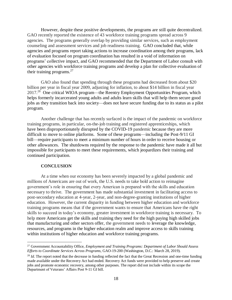However, despite these positive developments, the programs are still quite decentralized. GAO recently reported the existence of 43 workforce training programs spread across 9 agencies. The programs generally overlap by providing similar services, such as employment counseling and assessment services and job readiness training. GAO concluded that, while agencies and programs report taking actions to increase coordination among their programs, lack of evaluation focused on program coordination has resulted in a void of information on programs' collective impact, and GAO recommended that the Department of Labor consult with other agencies with workforce training programs and develop a plan for collective evaluation of their training programs.<sup>27</sup>

GAO also found that spending through these programs had decreased from about \$20 billion per year in fiscal year 2009, adjusting for inflation, to about \$14 billion in fiscal year 2017.<sup>28</sup> One critical WIOA program—the Reentry Employment Opportunities Program, which helps formerly incarcerated young adults and adults learn skills that will help them secure good jobs as they transition back into society—does not have secure funding due to its status as a pilot program.

Another challenge that has recently surfaced is the impact of the pandemic on workforce training programs, in particular, on-the-job training and registered apprenticeships, which have been disproportionately disrupted by the COVID-19 pandemic because they are more difficult to move to online platforms. Some of these programs—including the Post-9/11 GI bill—require participants to meet a minimum number of hours in order to receive housing or other allowances. The shutdowns required by the response to the pandemic have made it all but impossible for participants to meet these requirements, which jeopardizes their training and continued participation.

### **CONCLUSION**

 $\overline{a}$ 

At a time when our economy has been severely impacted by a global pandemic and millions of Americans are out of work, the U.S. needs to take bold action to reimagine government's role in ensuring that every American is prepared with the skills and education necessary to thrive. The government has made substantial investment in facilitating access to post-secondary education at 4-year, 2-year, and non-degree-granting institutions of higher education. However, the current disparity in funding between higher education and workforce training programs means that if the government wants to ensure that Americans have the right skills to succeed in today's economy, greater investment in workforce training is necessary. To help more Americans get the skills and training they need for the high paying high skilled jobs that manufacturing and other sectors offer, the government needs to leverage the knowledge, resources, and programs in the higher education realm and improve access to skills training within institutions of higher education and workforce training programs.

<sup>27</sup> Government Accountability Office, *Employment and Training Programs: Department of Labor Should Assess Efforts to Coordinate Services Across Programs,* GAO-19-200 (Washington, D.C.: March 28, 2019).

<sup>&</sup>lt;sup>28</sup> *Id*. The report noted that the decrease in funding reflected the fact that the Great Recession and one-time funding made available under the Recovery Act had ended. Recovery Act funds were provided to help preserve and create jobs and promote economic recovery, among other purposes. The report did not include within its scope the Department of Veterans' Affairs Post 9-11 GI bill.